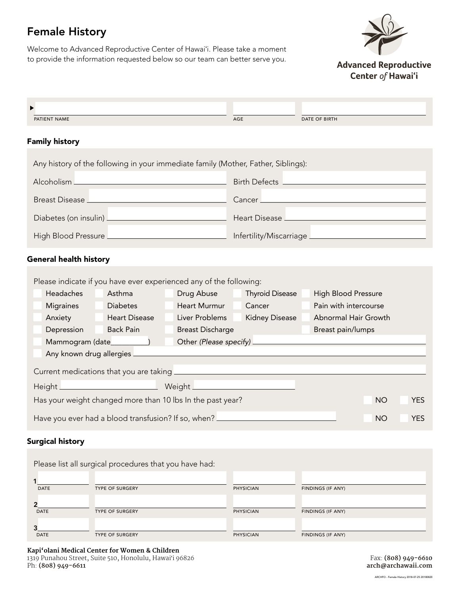# Female History

Welcome to Advanced Reproductive Center of Hawaiʻi. Please take a moment to provide the information requested below so our team can better serve you.



**Advanced Reproductive** Center of Hawai'i

| PATIENT NAME                                                                                                         | AGE                                  | DATE OF BIRTH                        |                      |            |
|----------------------------------------------------------------------------------------------------------------------|--------------------------------------|--------------------------------------|----------------------|------------|
| <b>Family history</b>                                                                                                |                                      |                                      |                      |            |
| Any history of the following in your immediate family (Mother, Father, Siblings):                                    |                                      |                                      |                      |            |
| Alcoholism _                                                                                                         |                                      | Birth Defects <u>_______________</u> |                      |            |
| Breast Disease <u>Land and Breast Disease</u>                                                                        | Cancer <sub>L</sub>                  |                                      |                      |            |
|                                                                                                                      |                                      |                                      |                      |            |
| High Blood Pressure <u>Denverse Alexander Communication</u> Infertility/Miscarriage Denverse Alexander Communication |                                      |                                      |                      |            |
| <b>General health history</b>                                                                                        |                                      |                                      |                      |            |
| Please indicate if you have ever experienced any of the following:                                                   |                                      |                                      |                      |            |
| Headaches<br>Asthma                                                                                                  | Drug Abuse<br><b>Thyroid Disease</b> | High Blood Pressure                  |                      |            |
| <b>Migraines</b><br><b>Diabetes</b>                                                                                  | Heart Murmur<br>Cancer               | Pain with intercourse                |                      |            |
| Anxiety Heart Disease                                                                                                | Liver Problems                       | <b>Kidney Disease</b>                | Abnormal Hair Growth |            |
| <b>Back Pain</b><br>Depression<br>and the                                                                            | <b>Breast Discharge</b>              | Breast pain/lumps                    |                      |            |
| Mammogram (date___________)                                                                                          |                                      |                                      |                      |            |
|                                                                                                                      |                                      |                                      |                      |            |
|                                                                                                                      |                                      |                                      |                      |            |
|                                                                                                                      |                                      |                                      |                      |            |
| Has your weight changed more than 10 lbs In the past year?                                                           |                                      |                                      | <b>NO</b>            | <b>YES</b> |
| Have you ever had a blood transfusion? If so, when?                                                                  |                                      |                                      | <b>NO</b>            | <b>YES</b> |

#### Surgical history

|             | Please list all surgical procedures that you have had: |                  |                   |
|-------------|--------------------------------------------------------|------------------|-------------------|
| <b>DATE</b> | <b>TYPE OF SURGERY</b>                                 | <b>PHYSICIAN</b> | FINDINGS (IF ANY) |
| <b>DATE</b> | <b>TYPE OF SURGERY</b>                                 | <b>PHYSICIAN</b> | FINDINGS (IF ANY) |
| <b>DATE</b> | <b>TYPE OF SURGERY</b>                                 | <b>PHYSICIAN</b> | FINDINGS (IF ANY) |

**Kapi'olani Medical Center for Women & Children**  1319 Punahou Street, Suite 510, Honolulu, Hawaiʻi 96826 Ph: **(808) 949-6611**

Fax: **(808) 949-6610 arch@archawaii.com**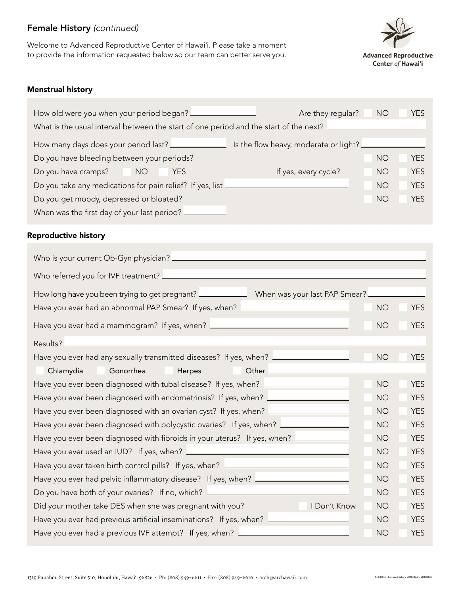## Female History *(continued)*

Welcome to Advanced Reproductive Center of Hawaiʻi. Please take a moment to provide the information requested below so our team can better serve you.



#### Menstrual history

| How old were you when your period began?                                              | Are they regular?                     | <b>NO</b> | <b>YES</b> |  |
|---------------------------------------------------------------------------------------|---------------------------------------|-----------|------------|--|
| What is the usual interval between the start of one period and the start of the next? |                                       |           |            |  |
| How many days does your period last?                                                  | Is the flow heavy, moderate or light? |           |            |  |
| Do you have bleeding between your periods?                                            |                                       | NO        | <b>YES</b> |  |
| Do you have cramps?<br><b>NO</b><br><b>YES</b>                                        | If yes, every cycle?                  | <b>NO</b> | <b>YES</b> |  |
| Do you take any medications for pain relief? If yes, list _                           |                                       | <b>NO</b> | <b>YES</b> |  |
| Do you get moody, depressed or bloated?                                               |                                       | <b>NO</b> | <b>YES</b> |  |
| When was the first day of your last period? _                                         |                                       |           |            |  |

#### Reproductive history

| How long have you been trying to get pregnant? __________________________________ When was your last PAP Smear? _ |           |            |  |
|-------------------------------------------------------------------------------------------------------------------|-----------|------------|--|
| Have you ever had an abnormal PAP Smear? If yes, when? <u>_________________________</u>                           | <b>NO</b> | <b>YES</b> |  |
| Have you ever had a mammogram? If yes, when? ___________________________________                                  | <b>NO</b> | <b>YES</b> |  |
| Results?                                                                                                          |           |            |  |
| Have you ever had any sexually transmitted diseases? If yes, when? <u>Lace and a measure the</u>                  | <b>NO</b> | <b>YES</b> |  |
| Chlamydia<br>Gonorrhea<br>Herpes                                                                                  |           |            |  |
| Have you ever been diagnosed with tubal disease? If yes, when? <u>Increase manual</u>                             | <b>NO</b> | <b>YES</b> |  |
| Have you ever been diagnosed with endometriosis? If yes, when? _________________                                  | <b>NO</b> | <b>YES</b> |  |
| Have you ever been diagnosed with an ovarian cyst? If yes, when? _______________                                  | <b>NO</b> | <b>YES</b> |  |
| Have you ever been diagnosed with polycystic ovaries? If yes, when? ____________                                  | <b>NO</b> | <b>YES</b> |  |
| Have you ever been diagnosed with fibroids in your uterus? If yes, when?                                          | <b>NO</b> | <b>YES</b> |  |
|                                                                                                                   | <b>NO</b> | <b>YES</b> |  |
| Have you ever taken birth control pills? If yes, when? <u>_________________________</u>                           | <b>NO</b> | <b>YES</b> |  |
| Have you ever had pelvic inflammatory disease? If yes, when? <u>Increase mess</u>                                 | <b>NO</b> | <b>YES</b> |  |
| Do you have both of your ovaries? If no, which? <u>Increase and the second of the second</u>                      | <b>NO</b> | <b>YES</b> |  |
| Did your mother take DES when she was pregnant with you?<br>I Don't Know                                          | <b>NO</b> | <b>YES</b> |  |
| Have you ever had previous artificial inseminations? If yes, when? L                                              | <b>NO</b> | <b>YES</b> |  |
| Have you ever had a previous IVF attempt? If yes, when? _                                                         | <b>NO</b> | <b>YES</b> |  |